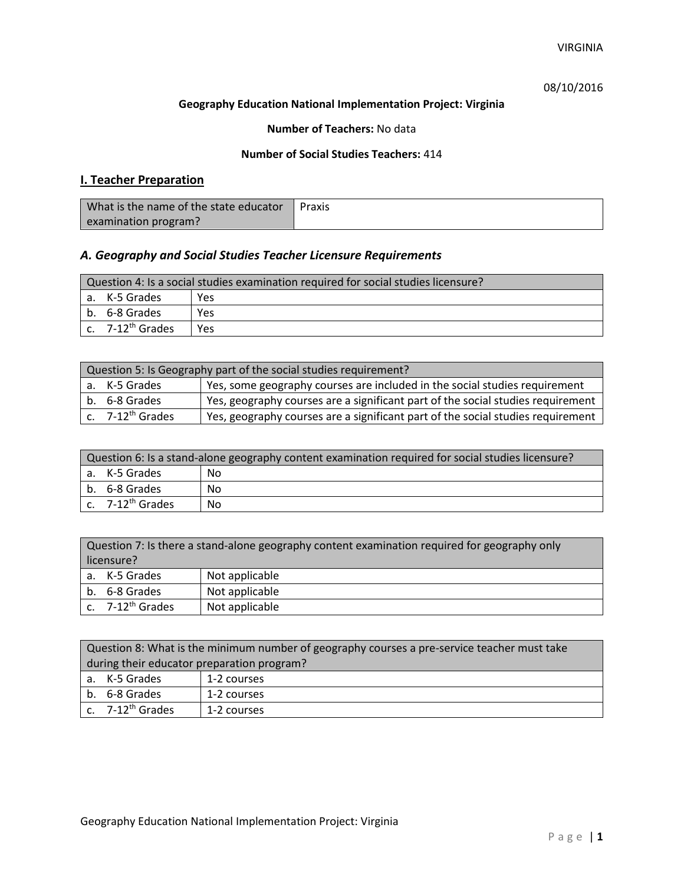## 08/10/2016

#### **Geography Education National Implementation Project: Virginia**

### **Number of Teachers:** No data

### **Number of Social Studies Teachers:** 414

# **I. Teacher Preparation**

| What is the name of the state educator | Praxis |
|----------------------------------------|--------|
| examination program?                   |        |

## *A. Geography and Social Studies Teacher Licensure Requirements*

| Question 4: Is a social studies examination required for social studies licensure? |                                         |     |  |  |
|------------------------------------------------------------------------------------|-----------------------------------------|-----|--|--|
|                                                                                    | a. K-5 Grades<br>Yes                    |     |  |  |
|                                                                                    | l b. 6-8 Grades                         | Yes |  |  |
|                                                                                    | $\mathsf{c.}$ 7-12 <sup>th</sup> Grades | Yes |  |  |

| Question 5: Is Geography part of the social studies requirement? |                                                                                                  |                                                                                 |  |
|------------------------------------------------------------------|--------------------------------------------------------------------------------------------------|---------------------------------------------------------------------------------|--|
|                                                                  | a. K-5 Grades                                                                                    | Yes, some geography courses are included in the social studies requirement      |  |
|                                                                  | Yes, geography courses are a significant part of the social studies requirement<br>b. 6-8 Grades |                                                                                 |  |
|                                                                  | $\vert$ c. $\vert$ 7-12 <sup>th</sup> Grades                                                     | Yes, geography courses are a significant part of the social studies requirement |  |

| Question 6: Is a stand-alone geography content examination required for social studies licensure? |                       |    |  |
|---------------------------------------------------------------------------------------------------|-----------------------|----|--|
|                                                                                                   | a. K-5 Grades         | No |  |
|                                                                                                   | b. 6-8 Grades         | Nο |  |
|                                                                                                   | c. $7-12^{th}$ Grades | Nο |  |

| Question 7: Is there a stand-alone geography content examination required for geography only<br>licensure? |                |  |  |
|------------------------------------------------------------------------------------------------------------|----------------|--|--|
| a. K-5 Grades                                                                                              | Not applicable |  |  |
| Not applicable<br>b. 6-8 Grades                                                                            |                |  |  |
| c. $7-12^{th}$ Grades                                                                                      | Not applicable |  |  |

| Question 8: What is the minimum number of geography courses a pre-service teacher must take |             |  |
|---------------------------------------------------------------------------------------------|-------------|--|
| during their educator preparation program?                                                  |             |  |
| a. K-5 Grades                                                                               | 1-2 courses |  |
| b. 6-8 Grades                                                                               | 1-2 courses |  |
| c. $7-12^{th}$ Grades                                                                       | 1-2 courses |  |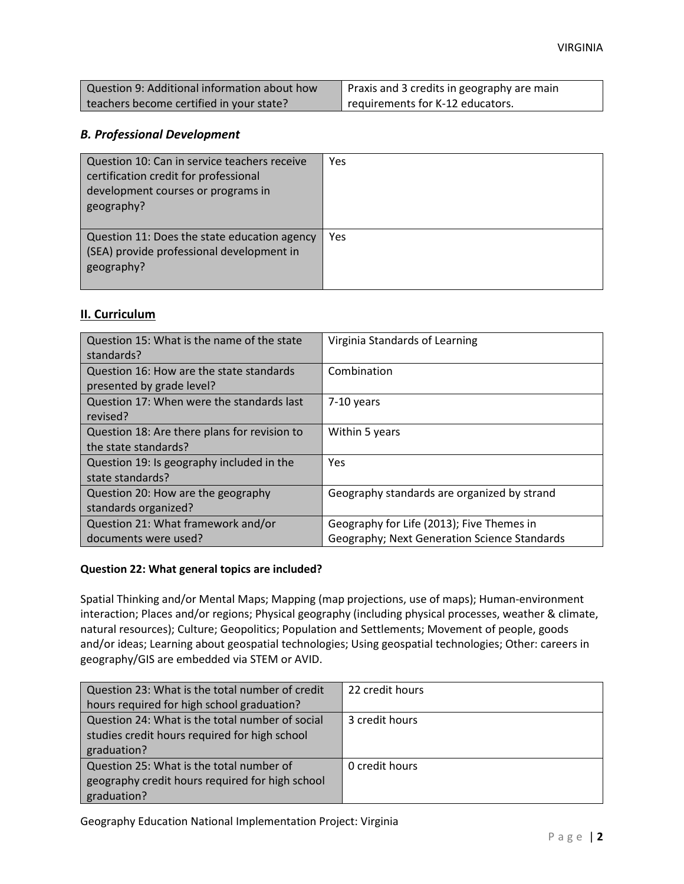| Question 9: Additional information about how | Praxis and 3 credits in geography are main |
|----------------------------------------------|--------------------------------------------|
| teachers become certified in your state?     | ₹ requirements for K-12 educators.         |

### *B. Professional Development*

| Question 10: Can in service teachers receive<br>certification credit for professional<br>development courses or programs in<br>geography? | Yes |
|-------------------------------------------------------------------------------------------------------------------------------------------|-----|
| Question 11: Does the state education agency<br>(SEA) provide professional development in<br>geography?                                   | Yes |

## **II. Curriculum**

| Question 15: What is the name of the state<br>standards? | Virginia Standards of Learning                      |
|----------------------------------------------------------|-----------------------------------------------------|
| Question 16: How are the state standards                 | Combination                                         |
| presented by grade level?                                |                                                     |
| Question 17: When were the standards last                | 7-10 years                                          |
| revised?                                                 |                                                     |
| Question 18: Are there plans for revision to             | Within 5 years                                      |
| the state standards?                                     |                                                     |
| Question 19: Is geography included in the                | Yes                                                 |
| state standards?                                         |                                                     |
| Question 20: How are the geography                       | Geography standards are organized by strand         |
| standards organized?                                     |                                                     |
| Question 21: What framework and/or                       | Geography for Life (2013); Five Themes in           |
| documents were used?                                     | <b>Geography; Next Generation Science Standards</b> |

#### **Question 22: What general topics are included?**

Spatial Thinking and/or Mental Maps; Mapping (map projections, use of maps); Human-environment interaction; Places and/or regions; Physical geography (including physical processes, weather & climate, natural resources); Culture; Geopolitics; Population and Settlements; Movement of people, goods and/or ideas; Learning about geospatial technologies; Using geospatial technologies; Other: careers in geography/GIS are embedded via STEM or AVID.

| Question 23: What is the total number of credit | 22 credit hours |
|-------------------------------------------------|-----------------|
| hours required for high school graduation?      |                 |
| Question 24: What is the total number of social | 3 credit hours  |
| studies credit hours required for high school   |                 |
| graduation?                                     |                 |
| Question 25: What is the total number of        | 0 credit hours  |
| geography credit hours required for high school |                 |
| graduation?                                     |                 |